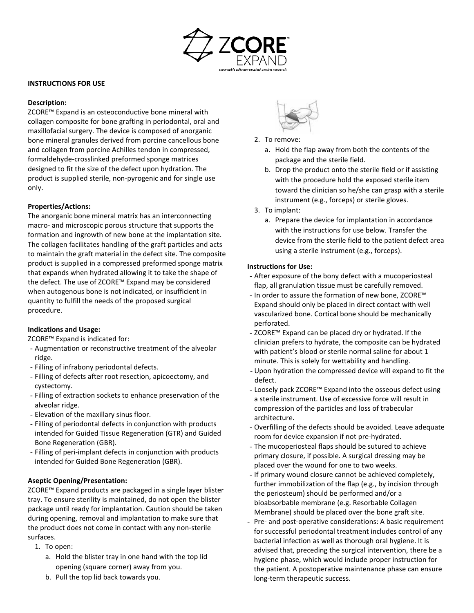

#### **INSTRUCTIONS FOR USE**

#### **Description:**

ZCORE™ Expand is an osteoconductive bone mineral with collagen composite for bone grafting in periodontal, oral and maxillofacial surgery. The device is composed of anorganic bone mineral granules derived from porcine cancellous bone and collagen from porcine Achilles tendon in compressed, formaldehyde-crosslinked preformed sponge matrices designed to fit the size of the defect upon hydration. The product is supplied sterile, non-pyrogenic and for single use only.

## **Properties/Actions:**

The anorganic bone mineral matrix has an interconnecting macro- and microscopic porous structure that supports the formation and ingrowth of new bone at the implantation site. The collagen facilitates handling of the graft particles and acts to maintain the graft material in the defect site. The composite product is supplied in a compressed preformed sponge matrix that expands when hydrated allowing it to take the shape of the defect. The use of ZCORE™ Expand may be considered when autogenous bone is not indicated, or insufficient in quantity to fulfill the needs of the proposed surgical procedure.

#### **Indications and Usage:**

ZCORE™ Expand is indicated for:

- Augmentation or reconstructive treatment of the alveolar ridge.
- Filling of infrabony periodontal defects.
- Filling of defects after root resection, apicoectomy, and cystectomy.
- Filling of extraction sockets to enhance preservation of the alveolar ridge.
- Elevation of the maxillary sinus floor.
- Filling of periodontal defects in conjunction with products intended for Guided Tissue Regeneration (GTR) and Guided Bone Regeneration (GBR).
- Filling of peri-implant defects in conjunction with products intended for Guided Bone Regeneration (GBR).

## **Aseptic Opening/Presentation:**

ZCORE™ Expand products are packaged in a single layer blister tray. To ensure sterility is maintained, do not open the blister package until ready for implantation. Caution should be taken during opening, removal and implantation to make sure that the product does not come in contact with any non-sterile surfaces.

- 1. To open:
	- a. Hold the blister tray in one hand with the top lid opening (square corner) away from you.
	- b. Pull the top lid back towards you.



- 2. To remove:
	- a. Hold the flap away from both the contents of the package and the sterile field.
	- b. Drop the product onto the sterile field or if assisting with the procedure hold the exposed sterile item toward the clinician so he/she can grasp with a sterile instrument (e.g., forceps) or sterile gloves.
- 3. To implant:
	- a. Prepare the device for implantation in accordance with the instructions for use below. Transfer the device from the sterile field to the patient defect area using a sterile instrument (e.g., forceps).

#### **Instructions for Use:**

- After exposure of the bony defect with a mucoperiosteal flap, all granulation tissue must be carefully removed.
- In order to assure the formation of new bone, ZCORE™ Expand should only be placed in direct contact with well vascularized bone. Cortical bone should be mechanically perforated.
- ZCORE™ Expand can be placed dry or hydrated. If the clinician prefers to hydrate, the composite can be hydrated with patient's blood or sterile normal saline for about 1 minute. This is solely for wettability and handling.
- Upon hydration the compressed device will expand to fit the defect.
- Loosely pack ZCORE™ Expand into the osseous defect using a sterile instrument. Use of excessive force will result in compression of the particles and loss of trabecular architecture.
- Overfilling of the defects should be avoided. Leave adequate room for device expansion if not pre-hydrated.
- The mucoperiosteal flaps should be sutured to achieve primary closure, if possible. A surgical dressing may be placed over the wound for one to two weeks.
- If primary wound closure cannot be achieved completely, further immobilization of the flap (e.g., by incision through the periosteum) should be performed and/or a bioabsorbable membrane (e.g. Resorbable Collagen Membrane) should be placed over the bone graft site.
- Pre- and post-operative considerations: A basic requirement for successful periodontal treatment includes control of any bacterial infection as well as thorough oral hygiene. It is advised that, preceding the surgical intervention, there be a hygiene phase, which would include proper instruction for the patient. A postoperative maintenance phase can ensure long-term therapeutic success.